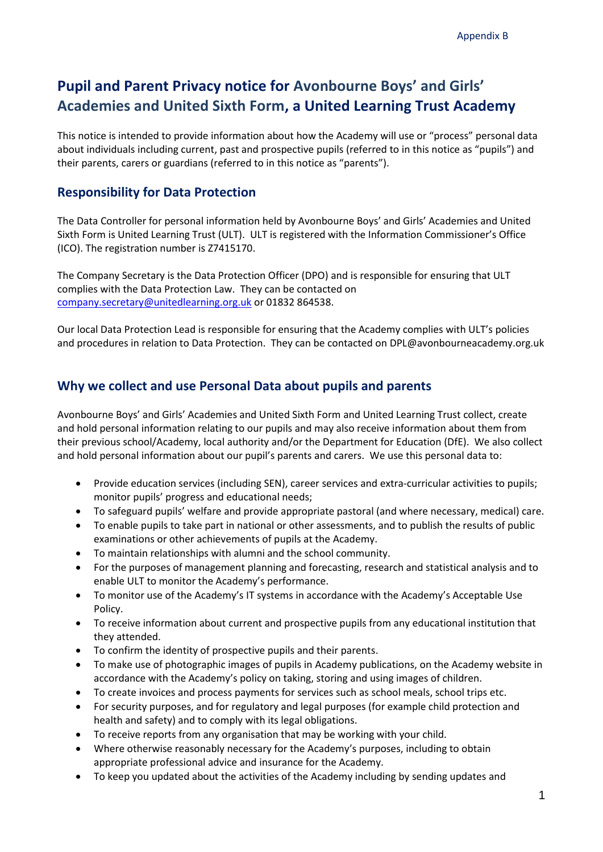# **Pupil and Parent Privacy notice for Avonbourne Boys' and Girls' Academies and United Sixth Form, a United Learning Trust Academy**

This notice is intended to provide information about how the Academy will use or "process" personal data about individuals including current, past and prospective pupils (referred to in this notice as "pupils") and their parents, carers or guardians (referred to in this notice as "parents").

### **Responsibility for Data Protection**

The Data Controller for personal information held by Avonbourne Boys' and Girls' Academies and United Sixth Form is United Learning Trust (ULT). ULT is registered with the Information Commissioner's Office (ICO). The registration number is Z7415170.

The Company Secretary is the Data Protection Officer (DPO) and is responsible for ensuring that ULT complies with the Data Protection Law. They can be contacted on [company.secretary@unitedlearning.org.uk](mailto:company.secretary@unitedlearning.org.uk) or 01832 864538.

Our local Data Protection Lead is responsible for ensuring that the Academy complies with ULT's policies and procedures in relation to Data Protection. They can be contacted on DPL@avonbourneacademy.org.uk

# **Why we collect and use Personal Data about pupils and parents**

Avonbourne Boys' and Girls' Academies and United Sixth Form and United Learning Trust collect, create and hold personal information relating to our pupils and may also receive information about them from their previous school/Academy, local authority and/or the Department for Education (DfE). We also collect and hold personal information about our pupil's parents and carers. We use this personal data to:

- Provide education services (including SEN), career services and extra-curricular activities to pupils; monitor pupils' progress and educational needs;
- To safeguard pupils' welfare and provide appropriate pastoral (and where necessary, medical) care.
- To enable pupils to take part in national or other assessments, and to publish the results of public examinations or other achievements of pupils at the Academy.
- To maintain relationships with alumni and the school community.
- For the purposes of management planning and forecasting, research and statistical analysis and to enable ULT to monitor the Academy's performance.
- To monitor use of the Academy's IT systems in accordance with the Academy's Acceptable Use Policy.
- To receive information about current and prospective pupils from any educational institution that they attended.
- To confirm the identity of prospective pupils and their parents.
- To make use of photographic images of pupils in Academy publications, on the Academy website in accordance with the Academy's policy on taking, storing and using images of children.
- To create invoices and process payments for services such as school meals, school trips etc.
- For security purposes, and for regulatory and legal purposes (for example child protection and health and safety) and to comply with its legal obligations.
- To receive reports from any organisation that may be working with your child.
- Where otherwise reasonably necessary for the Academy's purposes, including to obtain appropriate professional advice and insurance for the Academy.
- To keep you updated about the activities of the Academy including by sending updates and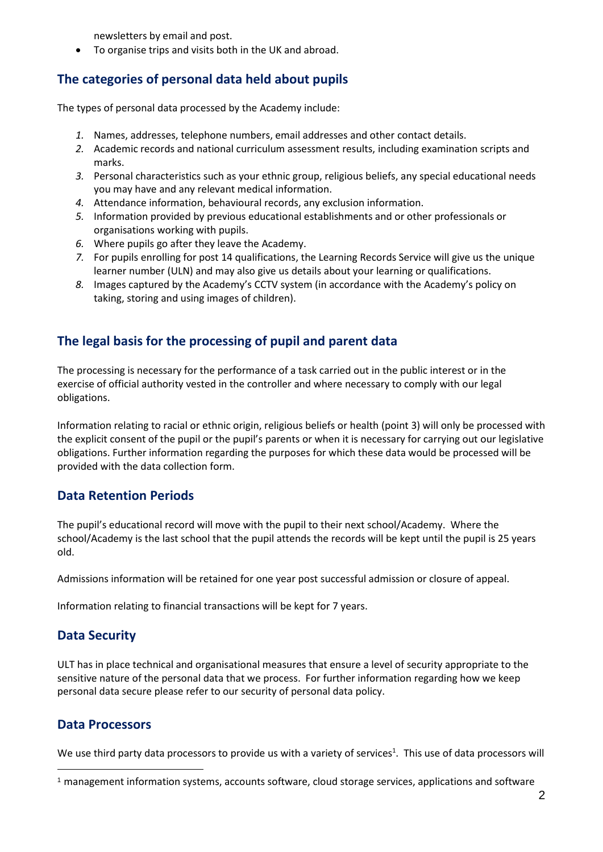newsletters by email and post.

• To organise trips and visits both in the UK and abroad.

# **The categories of personal data held about pupils**

The types of personal data processed by the Academy include:

- *1.* Names, addresses, telephone numbers, email addresses and other contact details.
- *2.* Academic records and national curriculum assessment results, including examination scripts and marks.
- *3.* Personal characteristics such as your ethnic group, religious beliefs, any special educational needs you may have and any relevant medical information.
- *4.* Attendance information, behavioural records, any exclusion information.
- *5.* Information provided by previous educational establishments and or other professionals or organisations working with pupils.
- *6.* Where pupils go after they leave the Academy.
- *7.* For pupils enrolling for post 14 qualifications, the Learning Records Service will give us the unique learner number (ULN) and may also give us details about your learning or qualifications.
- *8.* Images captured by the Academy's CCTV system (in accordance with the Academy's policy on taking, storing and using images of children).

# **The legal basis for the processing of pupil and parent data**

The processing is necessary for the performance of a task carried out in the public interest or in the exercise of official authority vested in the controller and where necessary to comply with our legal obligations.

Information relating to racial or ethnic origin, religious beliefs or health (point 3) will only be processed with the explicit consent of the pupil or the pupil's parents or when it is necessary for carrying out our legislative obligations. Further information regarding the purposes for which these data would be processed will be provided with the data collection form.

## **Data Retention Periods**

The pupil's educational record will move with the pupil to their next school/Academy. Where the school/Academy is the last school that the pupil attends the records will be kept until the pupil is 25 years old.

Admissions information will be retained for one year post successful admission or closure of appeal.

Information relating to financial transactions will be kept for 7 years.

## **Data Security**

ULT has in place technical and organisational measures that ensure a level of security appropriate to the sensitive nature of the personal data that we process. For further information regarding how we keep personal data secure please refer to our security of personal data policy.

## **Data Processors**

We use third party data processors to provide us with a variety of services<sup>1</sup>. This use of data processors will

<sup>1</sup> management information systems, accounts software, cloud storage services, applications and software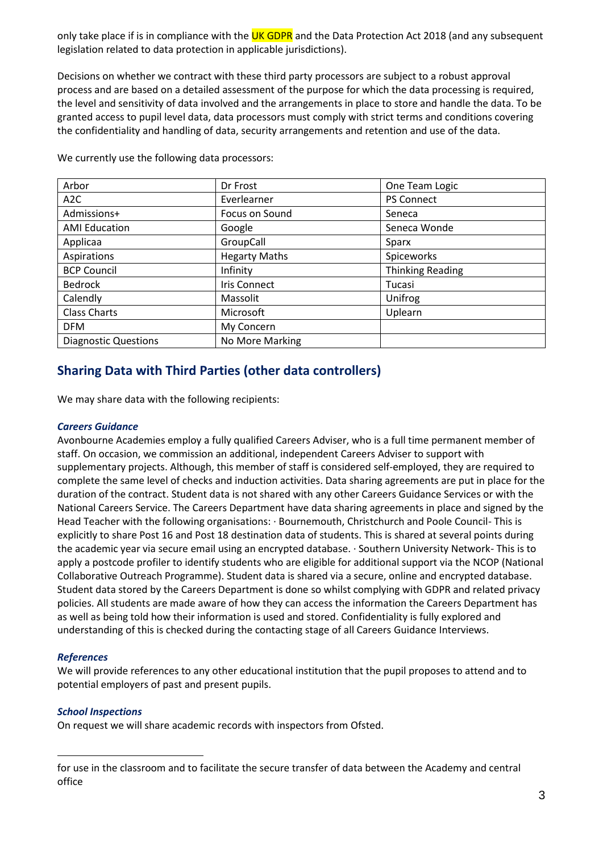only take place if is in compliance with the UK GDPR and the Data Protection Act 2018 (and any subsequent legislation related to data protection in applicable jurisdictions).

Decisions on whether we contract with these third party processors are subject to a robust approval process and are based on a detailed assessment of the purpose for which the data processing is required, the level and sensitivity of data involved and the arrangements in place to store and handle the data. To be granted access to pupil level data, data processors must comply with strict terms and conditions covering the confidentiality and handling of data, security arrangements and retention and use of the data.

| Arbor                       | Dr Frost             | One Team Logic          |
|-----------------------------|----------------------|-------------------------|
| A <sub>2</sub> C            | Everlearner          | <b>PS Connect</b>       |
| Admissions+                 | Focus on Sound       | Seneca                  |
| <b>AMI Education</b>        | Google               | Seneca Wonde            |
| Applicaa                    | GroupCall            | Sparx                   |
| Aspirations                 | <b>Hegarty Maths</b> | Spiceworks              |
| <b>BCP Council</b>          | Infinity             | <b>Thinking Reading</b> |
| <b>Bedrock</b>              | <b>Iris Connect</b>  | Tucasi                  |
| Calendly                    | Massolit             | Unifrog                 |
| <b>Class Charts</b>         | Microsoft            | Uplearn                 |
| <b>DFM</b>                  | My Concern           |                         |
| <b>Diagnostic Questions</b> | No More Marking      |                         |

We currently use the following data processors:

# **Sharing Data with Third Parties (other data controllers)**

We may share data with the following recipients:

#### *Careers Guidance*

Avonbourne Academies employ a fully qualified Careers Adviser, who is a full time permanent member of staff. On occasion, we commission an additional, independent Careers Adviser to support with supplementary projects. Although, this member of staff is considered self-employed, they are required to complete the same level of checks and induction activities. Data sharing agreements are put in place for the duration of the contract. Student data is not shared with any other Careers Guidance Services or with the National Careers Service. The Careers Department have data sharing agreements in place and signed by the Head Teacher with the following organisations: · Bournemouth, Christchurch and Poole Council- This is explicitly to share Post 16 and Post 18 destination data of students. This is shared at several points during the academic year via secure email using an encrypted database. · Southern University Network- This is to apply a postcode profiler to identify students who are eligible for additional support via the NCOP (National Collaborative Outreach Programme). Student data is shared via a secure, online and encrypted database. Student data stored by the Careers Department is done so whilst complying with GDPR and related privacy policies. All students are made aware of how they can access the information the Careers Department has as well as being told how their information is used and stored. Confidentiality is fully explored and understanding of this is checked during the contacting stage of all Careers Guidance Interviews.

#### *References*

We will provide references to any other educational institution that the pupil proposes to attend and to potential employers of past and present pupils.

#### *School Inspections*

On request we will share academic records with inspectors from Ofsted.

for use in the classroom and to facilitate the secure transfer of data between the Academy and central office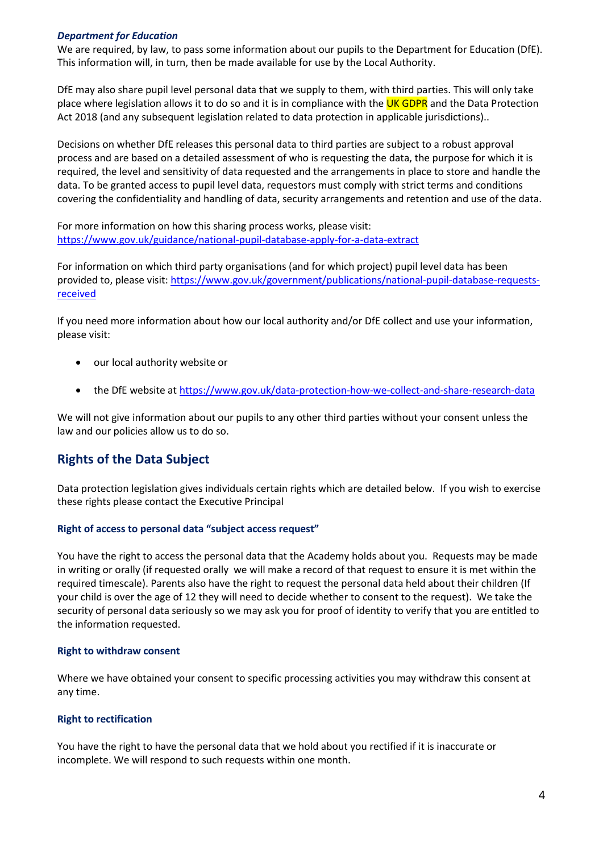#### *Department for Education*

We are required, by law, to pass some information about our pupils to the Department for Education (DfE). This information will, in turn, then be made available for use by the Local Authority.

DfE may also share pupil level personal data that we supply to them, with third parties. This will only take place where legislation allows it to do so and it is in compliance with the UK GDPR and the Data Protection Act 2018 (and any subsequent legislation related to data protection in applicable jurisdictions)..

Decisions on whether DfE releases this personal data to third parties are subject to a robust approval process and are based on a detailed assessment of who is requesting the data, the purpose for which it is required, the level and sensitivity of data requested and the arrangements in place to store and handle the data. To be granted access to pupil level data, requestors must comply with strict terms and conditions covering the confidentiality and handling of data, security arrangements and retention and use of the data.

For more information on how this sharing process works, please visit: <https://www.gov.uk/guidance/national-pupil-database-apply-for-a-data-extract>

For information on which third party organisations (and for which project) pupil level data has been provided to, please visit[: https://www.gov.uk/government/publications/national-pupil-database-requests](https://www.gov.uk/government/publications/national-pupil-database-requests-received)[received](https://www.gov.uk/government/publications/national-pupil-database-requests-received)

If you need more information about how our local authority and/or DfE collect and use your information, please visit:

- our local authority website or
- the DfE website at<https://www.gov.uk/data-protection-how-we-collect-and-share-research-data>

We will not give information about our pupils to any other third parties without your consent unless the law and our policies allow us to do so.

## **Rights of the Data Subject**

Data protection legislation gives individuals certain rights which are detailed below. If you wish to exercise these rights please contact the Executive Principal

#### **Right of access to personal data "subject access request"**

You have the right to access the personal data that the Academy holds about you. Requests may be made in writing or orally (if requested orally we will make a record of that request to ensure it is met within the required timescale). Parents also have the right to request the personal data held about their children (If your child is over the age of 12 they will need to decide whether to consent to the request). We take the security of personal data seriously so we may ask you for proof of identity to verify that you are entitled to the information requested.

#### **Right to withdraw consent**

Where we have obtained your consent to specific processing activities you may withdraw this consent at any time.

#### **Right to rectification**

You have the right to have the personal data that we hold about you rectified if it is inaccurate or incomplete. We will respond to such requests within one month.